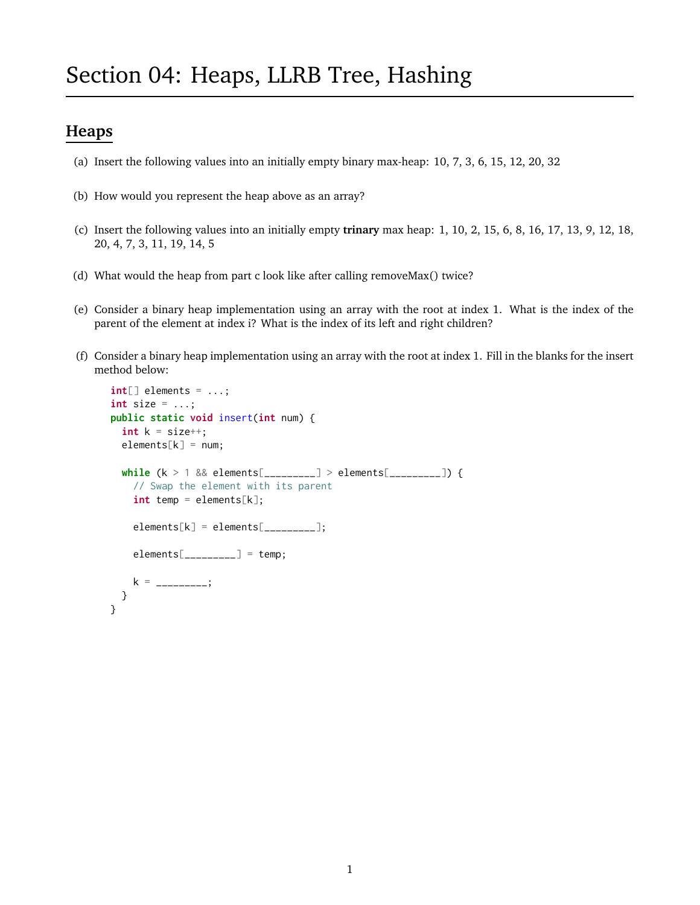# Section 04: Heaps, LLRB Tree, Hashing

## **Heaps**

- (a) Insert the following values into an initially empty binary max-heap: 10, 7, 3, 6, 15, 12, 20, 32
- (b) How would you represent the heap above as an array?
- (c) Insert the following values into an initially empty **trinary** max heap: 1, 10, 2, 15, 6, 8, 16, 17, 13, 9, 12, 18, 20, 4, 7, 3, 11, 19, 14, 5
- (d) What would the heap from part c look like after calling removeMax() twice?
- (e) Consider a binary heap implementation using an array with the root at index 1. What is the index of the parent of the element at index i? What is the index of its left and right children?
- (f) Consider a binary heap implementation using an array with the root at index 1. Fill in the blanks for the insert method below:

```
int[] elements = ...;
int size = ...;
public static void insert(int num) {
  int k = size++;elements[k] = num;while (k > 1 && elements[_________] > elements[_________]) {
    // Swap the element with its parent
    int temp = elements[k];
    elements[k] = elements[\_ \_ \_ \_];\text{elements}[\_\_\_\_\_\_\_\_\_\_\_]\ =\ \text{temp};k = ________;
 }
}
```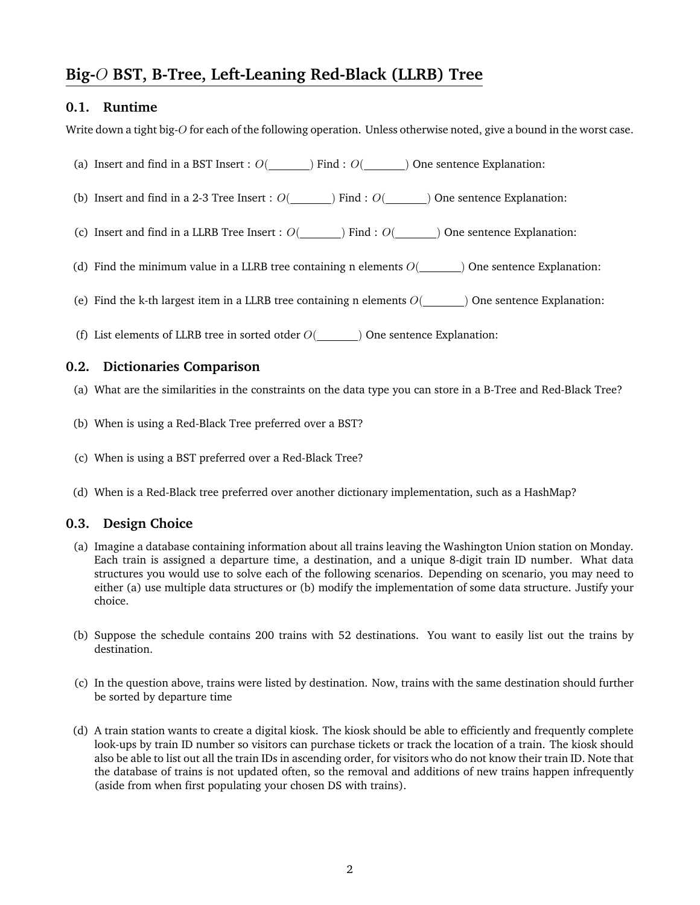# **Big-**O **BST, B-Tree, Left-Leaning Red-Black (LLRB) Tree**

#### **0.1. Runtime**

Write down a tight big-O for each of the following operation. Unless otherwise noted, give a bound in the worst case.

- (a) Insert and find in a BST Insert :  $O(\underline{\hspace{1cm}})$  Find :  $O(\underline{\hspace{1cm}})$  One sentence Explanation:
- (b) Insert and find in a 2-3 Tree Insert :  $O(\underline{\hspace{2cm}})$  Find :  $O(\underline{\hspace{2cm}})$  One sentence Explanation:
- (c) Insert and find in a LLRB Tree Insert :  $O(\underline{\hspace{2cm}})$  Find :  $O(\underline{\hspace{2cm}})$  One sentence Explanation:
- (d) Find the minimum value in a LLRB tree containing n elements  $O(\underline{\hspace{2cm}})$  One sentence Explanation:
- (e) Find the k-th largest item in a LLRB tree containing n elements  $O($   $)$  One sentence Explanation:
- (f) List elements of LLRB tree in sorted otder  $O($  ) One sentence Explanation:

#### **0.2. Dictionaries Comparison**

- (a) What are the similarities in the constraints on the data type you can store in a B-Tree and Red-Black Tree?
- (b) When is using a Red-Black Tree preferred over a BST?
- (c) When is using a BST preferred over a Red-Black Tree?
- (d) When is a Red-Black tree preferred over another dictionary implementation, such as a HashMap?

#### **0.3. Design Choice**

- (a) Imagine a database containing information about all trains leaving the Washington Union station on Monday. Each train is assigned a departure time, a destination, and a unique 8-digit train ID number. What data structures you would use to solve each of the following scenarios. Depending on scenario, you may need to either (a) use multiple data structures or (b) modify the implementation of some data structure. Justify your choice.
- (b) Suppose the schedule contains 200 trains with 52 destinations. You want to easily list out the trains by destination.
- (c) In the question above, trains were listed by destination. Now, trains with the same destination should further be sorted by departure time
- (d) A train station wants to create a digital kiosk. The kiosk should be able to efficiently and frequently complete look-ups by train ID number so visitors can purchase tickets or track the location of a train. The kiosk should also be able to list out all the train IDs in ascending order, for visitors who do not know their train ID. Note that the database of trains is not updated often, so the removal and additions of new trains happen infrequently (aside from when first populating your chosen DS with trains).